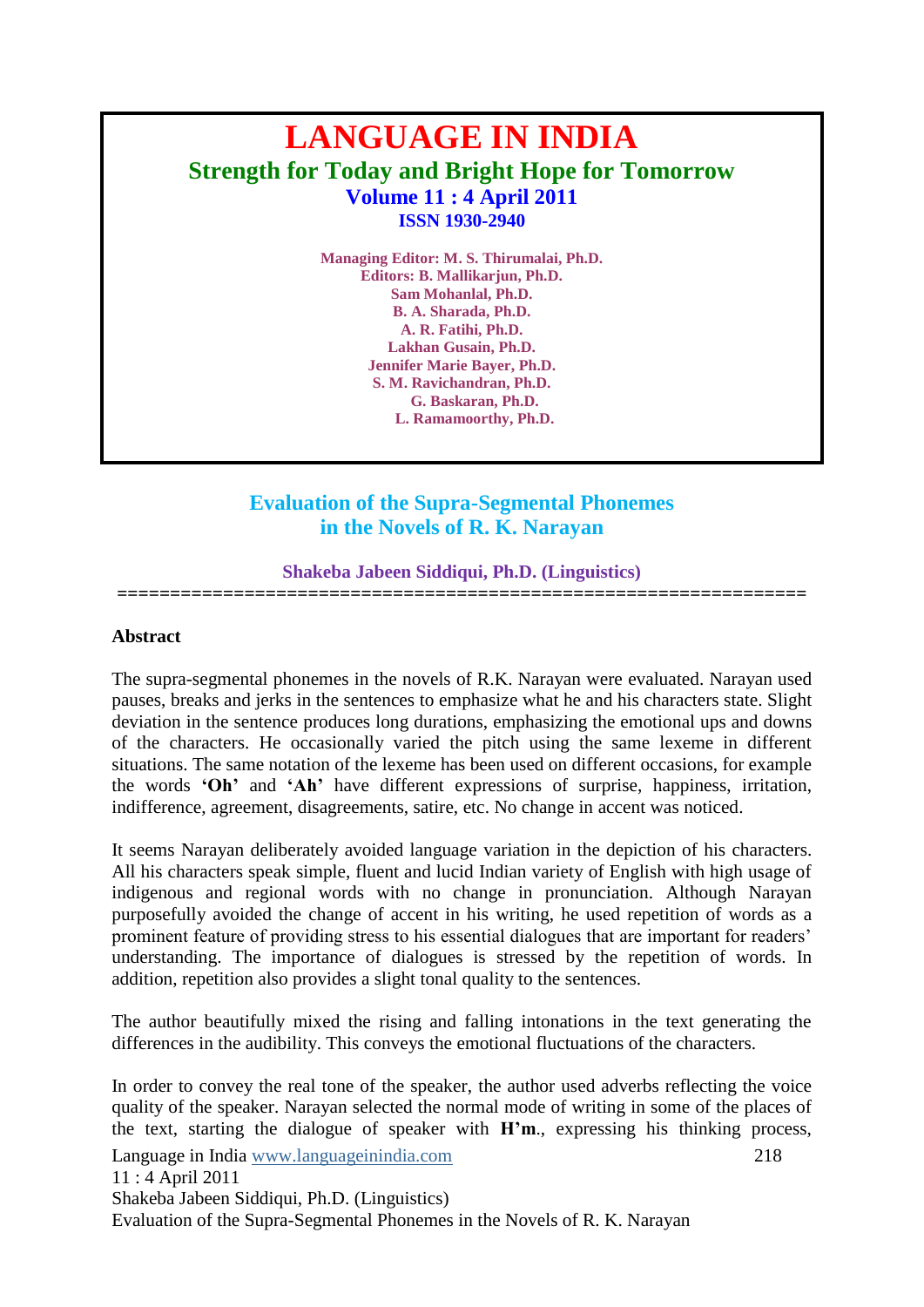# **LANGUAGE IN INDIA Strength for Today and Bright Hope for Tomorrow Volume 11 : 4 April 2011 ISSN 1930-2940**

**Managing Editor: M. S. Thirumalai, Ph.D. Editors: B. Mallikarjun, Ph.D. Sam Mohanlal, Ph.D. B. A. Sharada, Ph.D. A. R. Fatihi, Ph.D. Lakhan Gusain, Ph.D. Jennifer Marie Bayer, Ph.D. S. M. Ravichandran, Ph.D. G. Baskaran, Ph.D. L. Ramamoorthy, Ph.D.**

## **Evaluation of the Supra-Segmental Phonemes in the Novels of R. K. Narayan**

#### **Shakeba Jabeen Siddiqui, Ph.D. (Linguistics)**

**=================================================================**

#### **Abstract**

The supra-segmental phonemes in the novels of R.K. Narayan were evaluated. Narayan used pauses, breaks and jerks in the sentences to emphasize what he and his characters state. Slight deviation in the sentence produces long durations, emphasizing the emotional ups and downs of the characters. He occasionally varied the pitch using the same lexeme in different situations. The same notation of the lexeme has been used on different occasions, for example the words **‗Oh'** and **‗Ah'** have different expressions of surprise, happiness, irritation, indifference, agreement, disagreements, satire, etc. No change in accent was noticed.

It seems Narayan deliberately avoided language variation in the depiction of his characters. All his characters speak simple, fluent and lucid Indian variety of English with high usage of indigenous and regional words with no change in pronunciation. Although Narayan purposefully avoided the change of accent in his writing, he used repetition of words as a prominent feature of providing stress to his essential dialogues that are important for readers' understanding. The importance of dialogues is stressed by the repetition of words. In addition, repetition also provides a slight tonal quality to the sentences.

The author beautifully mixed the rising and falling intonations in the text generating the differences in the audibility. This conveys the emotional fluctuations of the characters.

Language in India www.languageinindia.com 218 11 : 4 April 2011 Shakeba Jabeen Siddiqui, Ph.D. (Linguistics) Evaluation of the Supra-Segmental Phonemes in the Novels of R. K. Narayan In order to convey the real tone of the speaker, the author used adverbs reflecting the voice quality of the speaker. Narayan selected the normal mode of writing in some of the places of the text, starting the dialogue of speaker with **H'm**., expressing his thinking process,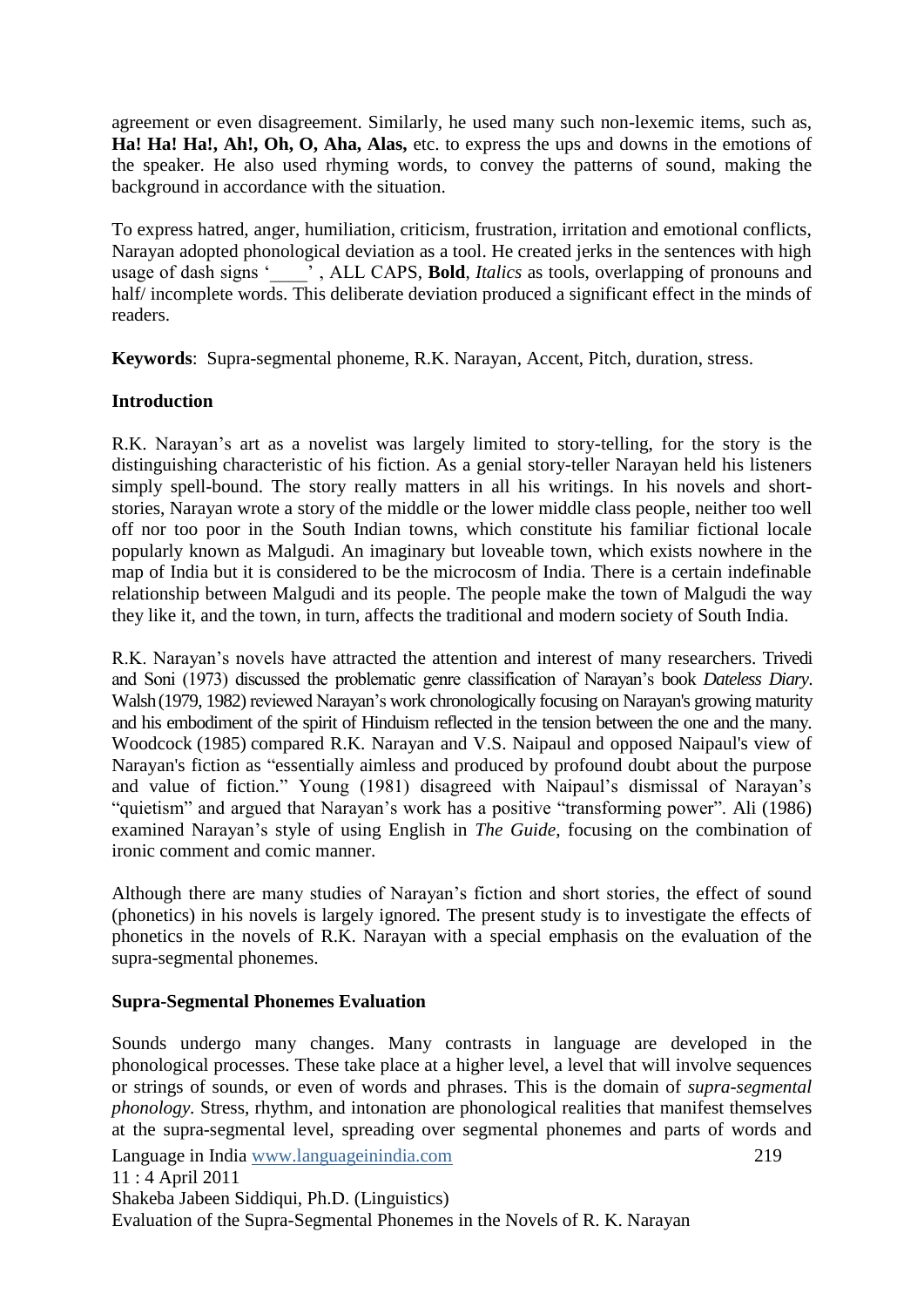agreement or even disagreement. Similarly, he used many such non-lexemic items, such as, **Ha! Ha! Ha!, Ah!, Oh, O, Aha, Alas,** etc. to express the ups and downs in the emotions of the speaker. He also used rhyming words, to convey the patterns of sound, making the background in accordance with the situation.

To express hatred, anger, humiliation, criticism, frustration, irritation and emotional conflicts, Narayan adopted phonological deviation as a tool. He created jerks in the sentences with high usage of dash signs ", ALL CAPS, **Bold**, *Italics* as tools, overlapping of pronouns and half/ incomplete words. This deliberate deviation produced a significant effect in the minds of readers.

**Keywords**: Supra-segmental phoneme, R.K. Narayan, Accent, Pitch, duration, stress.

## **Introduction**

R.K. Narayan's art as a novelist was largely limited to story-telling, for the story is the distinguishing characteristic of his fiction. As a genial story-teller Narayan held his listeners simply spell-bound. The story really matters in all his writings. In his novels and shortstories, Narayan wrote a story of the middle or the lower middle class people, neither too well off nor too poor in the South Indian towns, which constitute his familiar fictional locale popularly known as Malgudi. An imaginary but loveable town, which exists nowhere in the map of India but it is considered to be the microcosm of India. There is a certain indefinable relationship between Malgudi and its people. The people make the town of Malgudi the way they like it, and the town, in turn, affects the traditional and modern society of South India.

R.K. Narayan"s novels have attracted the attention and interest of many researchers. Trivedi and Soni (1973) discussed the problematic genre classification of Narayan"s book *Dateless Diary*. Walsh(1979, 1982) reviewed Narayan"s work chronologically focusing on Narayan's growing maturity and his embodiment of the spirit of Hinduism reflected in the tension between the one and the many. Woodcock (1985) compared R.K. Narayan and V.S. Naipaul and opposed Naipaul's view of Narayan's fiction as "essentially aimless and produced by profound doubt about the purpose and value of fiction." Young (1981) disagreed with Naipaul"s dismissal of Narayan"s "quietism" and argued that Narayan"s work has a positive "transforming power". Ali (1986) examined Narayan"s style of using English in *The Guide*, focusing on the combination of ironic comment and comic manner.

Although there are many studies of Narayan"s fiction and short stories, the effect of sound (phonetics) in his novels is largely ignored. The present study is to investigate the effects of phonetics in the novels of R.K. Narayan with a special emphasis on the evaluation of the supra-segmental phonemes.

## **Supra-Segmental Phonemes Evaluation**

Language in India www.languageinindia.com 219 11 : 4 April 2011 Shakeba Jabeen Siddiqui, Ph.D. (Linguistics) Evaluation of the Supra-Segmental Phonemes in the Novels of R. K. Narayan Sounds undergo many changes. Many contrasts in language are developed in the phonological processes. These take place at a higher level, a level that will involve sequences or strings of sounds, or even of words and phrases. This is the domain of *supra-segmental phonology.* Stress, rhythm, and intonation are phonological realities that manifest themselves at the supra-segmental level, spreading over segmental phonemes and parts of words and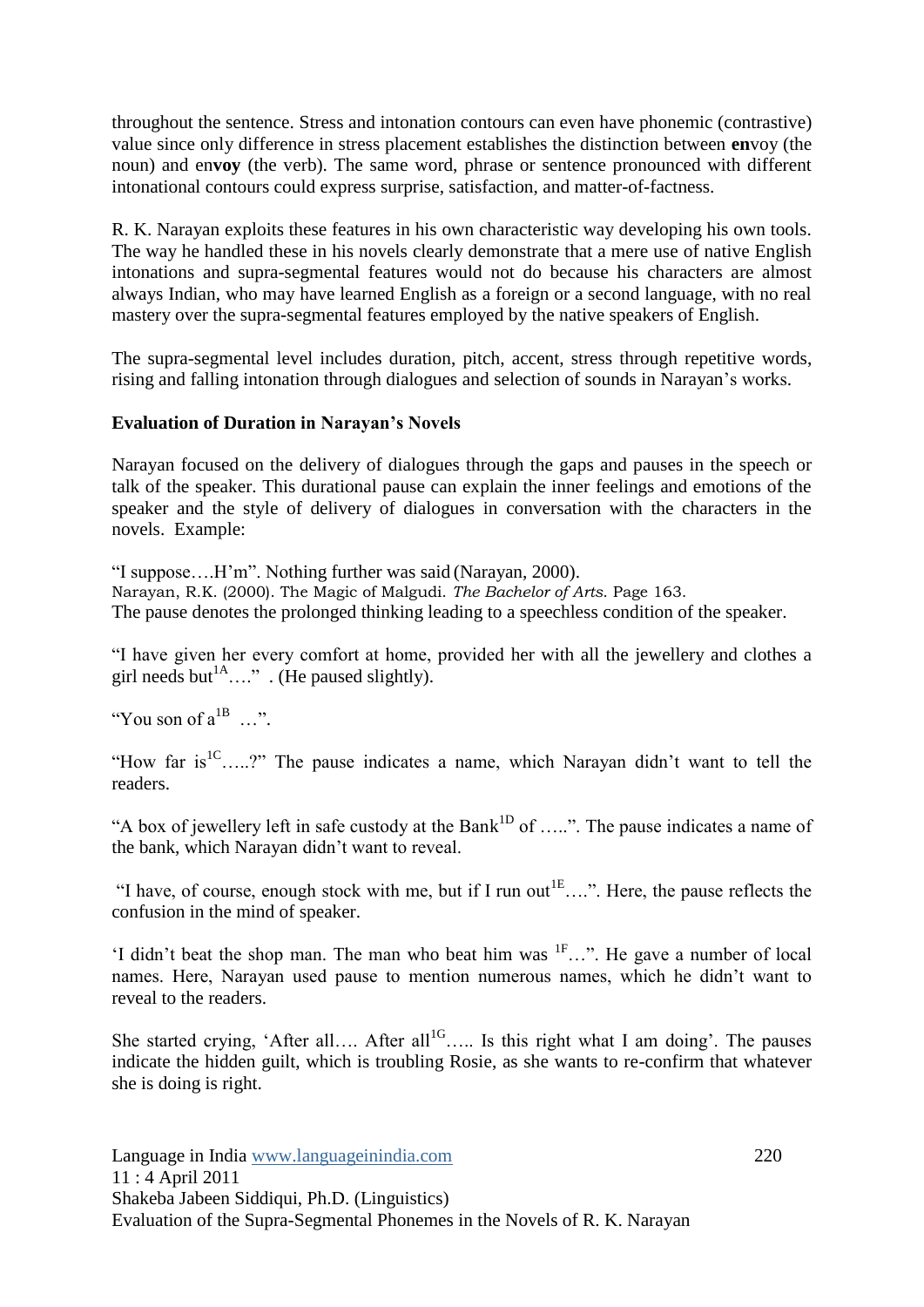throughout the sentence. Stress and intonation contours can even have phonemic (contrastive) value since only difference in stress placement establishes the distinction between **en**voy (the noun) and en**voy** (the verb). The same word, phrase or sentence pronounced with different intonational contours could express surprise, satisfaction, and matter-of-factness.

R. K. Narayan exploits these features in his own characteristic way developing his own tools. The way he handled these in his novels clearly demonstrate that a mere use of native English intonations and supra-segmental features would not do because his characters are almost always Indian, who may have learned English as a foreign or a second language, with no real mastery over the supra-segmental features employed by the native speakers of English.

The supra-segmental level includes duration, pitch, accent, stress through repetitive words, rising and falling intonation through dialogues and selection of sounds in Narayan"s works.

#### **Evaluation of Duration in Narayan's Novels**

Narayan focused on the delivery of dialogues through the gaps and pauses in the speech or talk of the speaker. This durational pause can explain the inner feelings and emotions of the speaker and the style of delivery of dialogues in conversation with the characters in the novels. Example:

"I suppose….H"m". Nothing further was said (Narayan, 2000). Narayan, R.K. (2000). The Magic of Malgudi. *The Bachelor of Arts*. Page 163. The pause denotes the prolonged thinking leading to a speechless condition of the speaker.

"I have given her every comfort at home, provided her with all the jewellery and clothes a girl needs but<sup>1A</sup>…." . (He paused slightly).

"You son of  $a^{1B}$  ...".

"How far is  ${}^{1}C$ .....?" The pause indicates a name, which Narayan didn't want to tell the readers.

"A box of jewellery left in safe custody at the Bank<sup>1D</sup> of .....". The pause indicates a name of the bank, which Narayan didn"t want to reveal.

"I have, of course, enough stock with me, but if I run out<sup>1E</sup>....". Here, the pause reflects the confusion in the mind of speaker.

'I didn't beat the shop man. The man who beat him was <sup>IF</sup>...". He gave a number of local names. Here, Narayan used pause to mention numerous names, which he didn"t want to reveal to the readers.

She started crying, 'After all.... After all<sup>1G</sup>..... Is this right what I am doing'. The pauses indicate the hidden guilt, which is troubling Rosie, as she wants to re-confirm that whatever she is doing is right.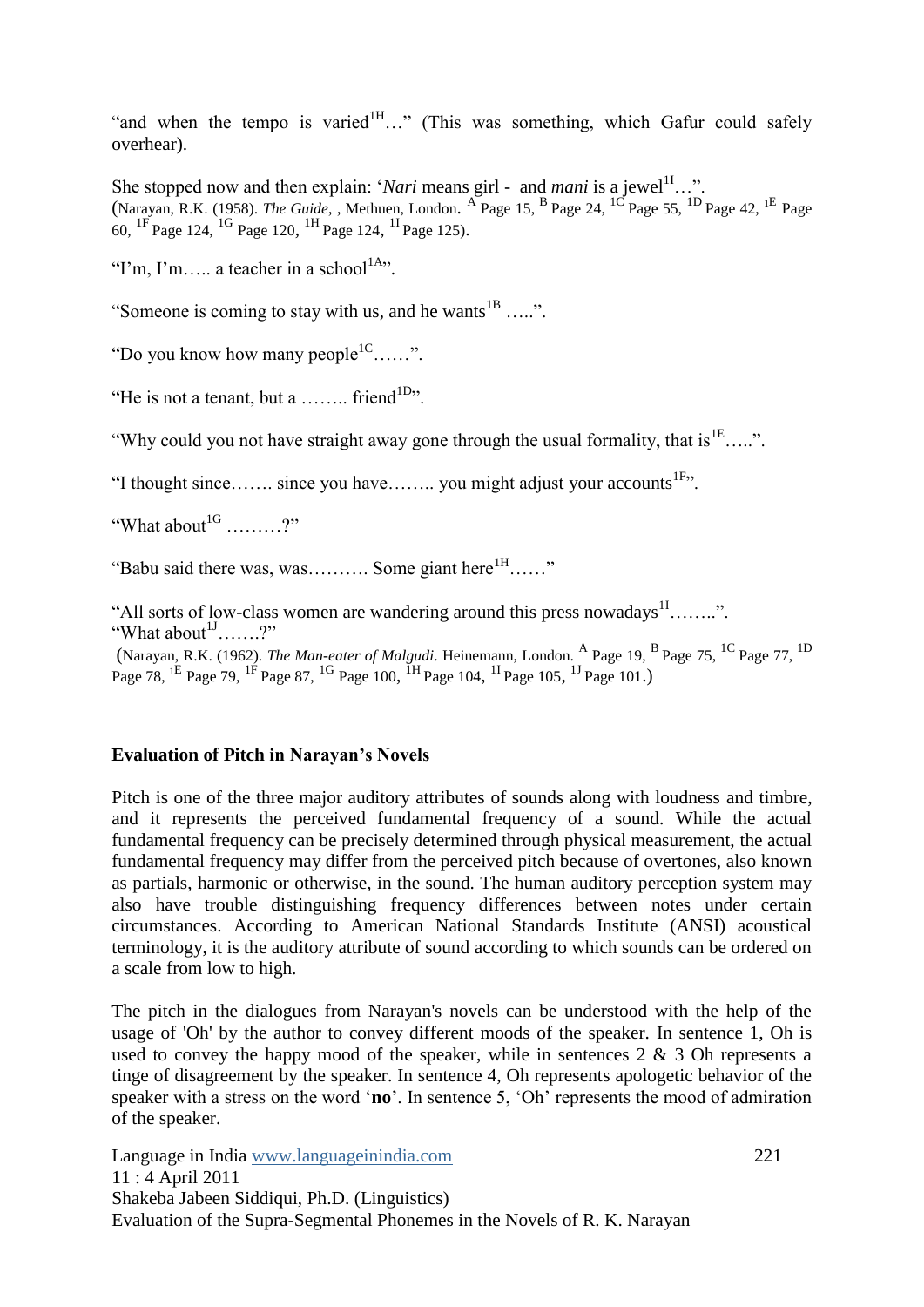"and when the tempo is varied $1H$ ..." (This was something, which Gafur could safely overhear).

She stopped now and then explain: '*Nari* means girl - and *mani* is a jewel<sup>11</sup>...". (Narayan, R.K. (1958). *The Guide*, , Methuen, London. <sup>A</sup> Page 15, <sup>B</sup> Page 24, <sup>1C</sup> Page 55, <sup>1D</sup> Page 42, <sup>1E</sup> Page 60,  $^{1F}$  Page 124,  $^{1G}$  Page 120,  $^{1H}$  Page 124,  $^{1I}$  Page 125).

"I'm, I'm….. a teacher in a school<sup>1A</sup>".

"Someone is coming to stay with us, and he wants ${}^{1B}$  .....".

"Do you know how many people<sup>1C</sup>......".

"He is not a tenant, but a ........ friend<sup>1D</sup>".

"Why could you not have straight away gone through the usual formality, that is  ${}^{1E}$ …..".

"I thought since  $\dots$  since you have  $\dots$  you might adjust your accounts<sup>1F,  $\dots$ </sup>

"What about  $1^{\text{G}}$  ........?"

"Babu said there was, was.......... Some giant here  ${}^{1H}$ ……"

"All sorts of low-class women are wandering around this press nowadays  $11$ ........". "What about $1$ <sup>1J</sup>…….?"

(Narayan, R.K. (1962). *The Man-eater of Malgudi*. Heinemann, London. <sup>A</sup> Page 19, <sup>B</sup> Page 75, <sup>1C</sup> Page 77, <sup>1D</sup> Page 78, <sup>1E</sup> Page 79, <sup>1F</sup> Page 87, <sup>1G</sup> Page 100, <sup>1H</sup> Page 104, <sup>1I</sup> Page 105, <sup>1J</sup> Page 101.)

#### **Evaluation of Pitch in Narayan's Novels**

Pitch is one of the three major auditory attributes of sounds along with loudness and timbre, and it represents the perceived fundamental frequency of a sound. While the actual fundamental frequency can be precisely determined through physical measurement, the actual fundamental frequency may differ from the perceived pitch because of overtones, also known as partials, harmonic or otherwise, in the sound. The human auditory perception system may also have trouble distinguishing frequency differences between notes under certain circumstances. According to American National Standards Institute (ANSI) acoustical terminology, it is the auditory attribute of sound according to which sounds can be ordered on a scale from low to high.

The pitch in the dialogues from Narayan's novels can be understood with the help of the usage of 'Oh' by the author to convey different moods of the speaker. In sentence 1, Oh is used to convey the happy mood of the speaker, while in sentences  $2 \& 3$  Oh represents a tinge of disagreement by the speaker. In sentence 4, Oh represents apologetic behavior of the speaker with a stress on the word "**no**". In sentence 5, "Oh" represents the mood of admiration of the speaker.

Language in India www.languageinindia.com 221 11 : 4 April 2011 Shakeba Jabeen Siddiqui, Ph.D. (Linguistics) Evaluation of the Supra-Segmental Phonemes in the Novels of R. K. Narayan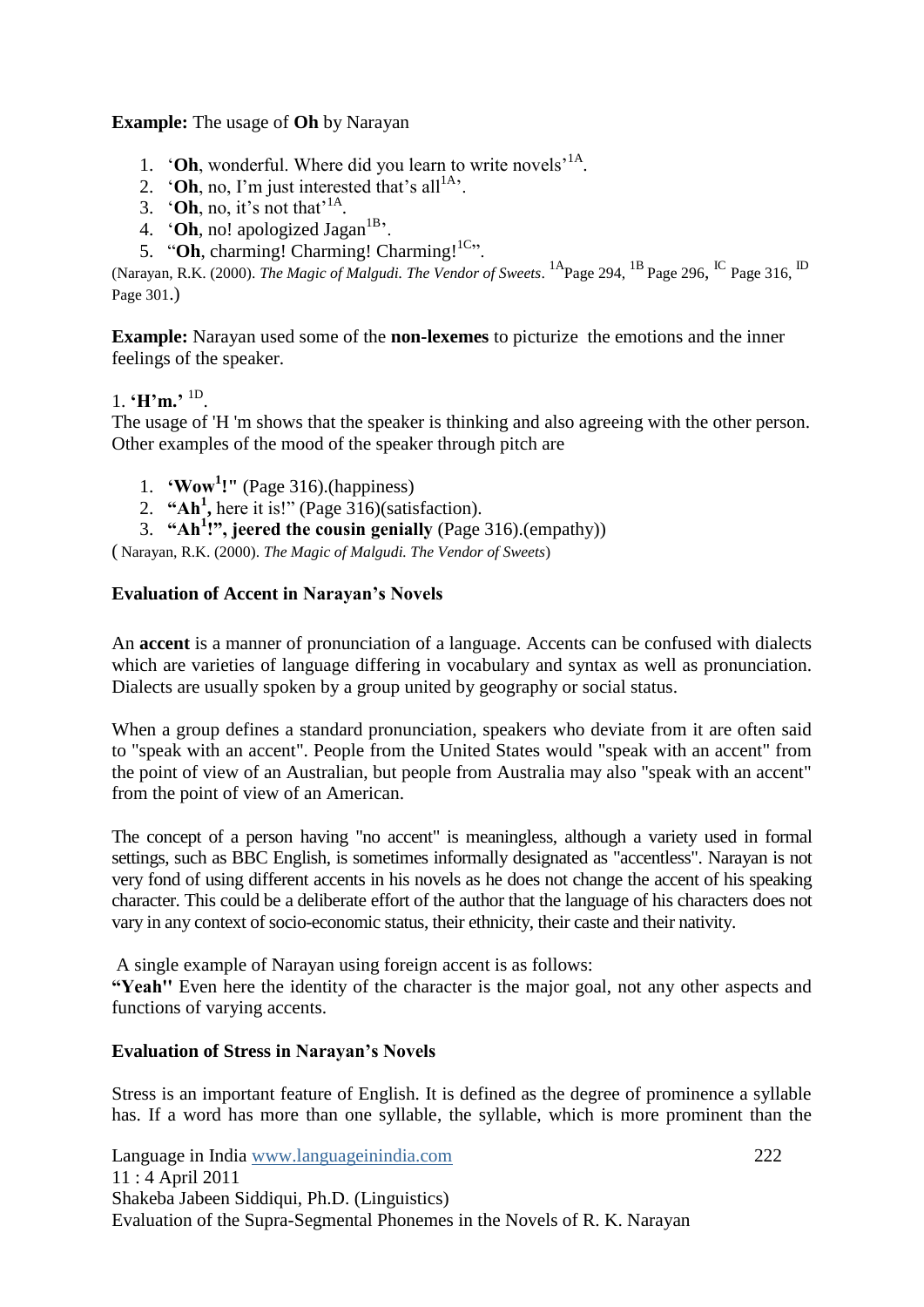**Example:** The usage of **Oh** by Narayan

- 1. **'Oh**, wonderful. Where did you learn to write novels<sup>'1A</sup>.
- 2.  $^{\circ}$  **Oh**, no, I'm just interested that's all<sup>1A</sup>.
- 3.  $^{\circ}$  **Oh**, no, it's not that<sup>'1A</sup>.
- 4.  $^{\circ}$  **Oh**, no! apologized Jagan<sup>1B</sup>.
- 5. "Oh, charming! Charming! Charming!<sup>1C</sup>".

(Narayan, R.K. (2000). *The Magic of Malgudi. The Vendor of Sweets*. <sup>1A</sup>Page 294, <sup>1B</sup> Page 296, <sup>IC</sup> Page 316, <sup>ID</sup> Page 301.)

**Example:** Narayan used some of the **non-lexemes** to picturize the emotions and the inner feelings of the speaker.

## 1. **H'm.**' <sup>1D</sup>.

The usage of 'H 'm shows that the speaker is thinking and also agreeing with the other person. Other examples of the mood of the speaker through pitch are

- 1. **‗Wow<sup>1</sup> !"** (Page 316).(happiness)
- 2. "Ah<sup>1</sup>, here it is!" (Page 316)(satisfaction).
- 3. **―Ah<sup>1</sup> !‖, jeered the cousin genially** (Page 316).(empathy))

( Narayan, R.K. (2000). *The Magic of Malgudi. The Vendor of Sweets*)

## **Evaluation of Accent in Narayan's Novels**

An **accent** is a manner of pronunciation of a language. Accents can be confused with dialects which are varieties of language differing in [vocabulary](http://en.wikipedia.org/wiki/Vocabulary) and [syntax](http://en.wikipedia.org/wiki/Syntax) as well as pronunciation. Dialects are usually spoken by a group united by geography or social status.

When a group defines a standard pronunciation, speakers who deviate from it are often said to "speak with an accent". People from the United States would "speak with an accent" from the point of view of an Australian, but people from Australia may also "speak with an accent" from the point of view of an American.

The concept of a person having "no accent" is meaningless, although a variety used in formal settings, such as BBC English, is sometimes informally designated as "accentless". Narayan is not very fond of using different accents in his novels as he does not change the accent of his speaking character. This could be a deliberate effort of the author that the language of his characters does not vary in any context of socio-economic status, their ethnicity, their caste and their nativity.

A single example of Narayan using foreign accent is as follows:

"Yeah" Even here the identity of the character is the major goal, not any other aspects and functions of varying accents.

## **Evaluation of Stress in Narayan's Novels**

Stress is an important feature of English. It is defined as the degree of prominence a syllable has. If a word has more than one syllable, the syllable, which is more prominent than the

Language in India www.languageinindia.com 222 11 : 4 April 2011 Shakeba Jabeen Siddiqui, Ph.D. (Linguistics) Evaluation of the Supra-Segmental Phonemes in the Novels of R. K. Narayan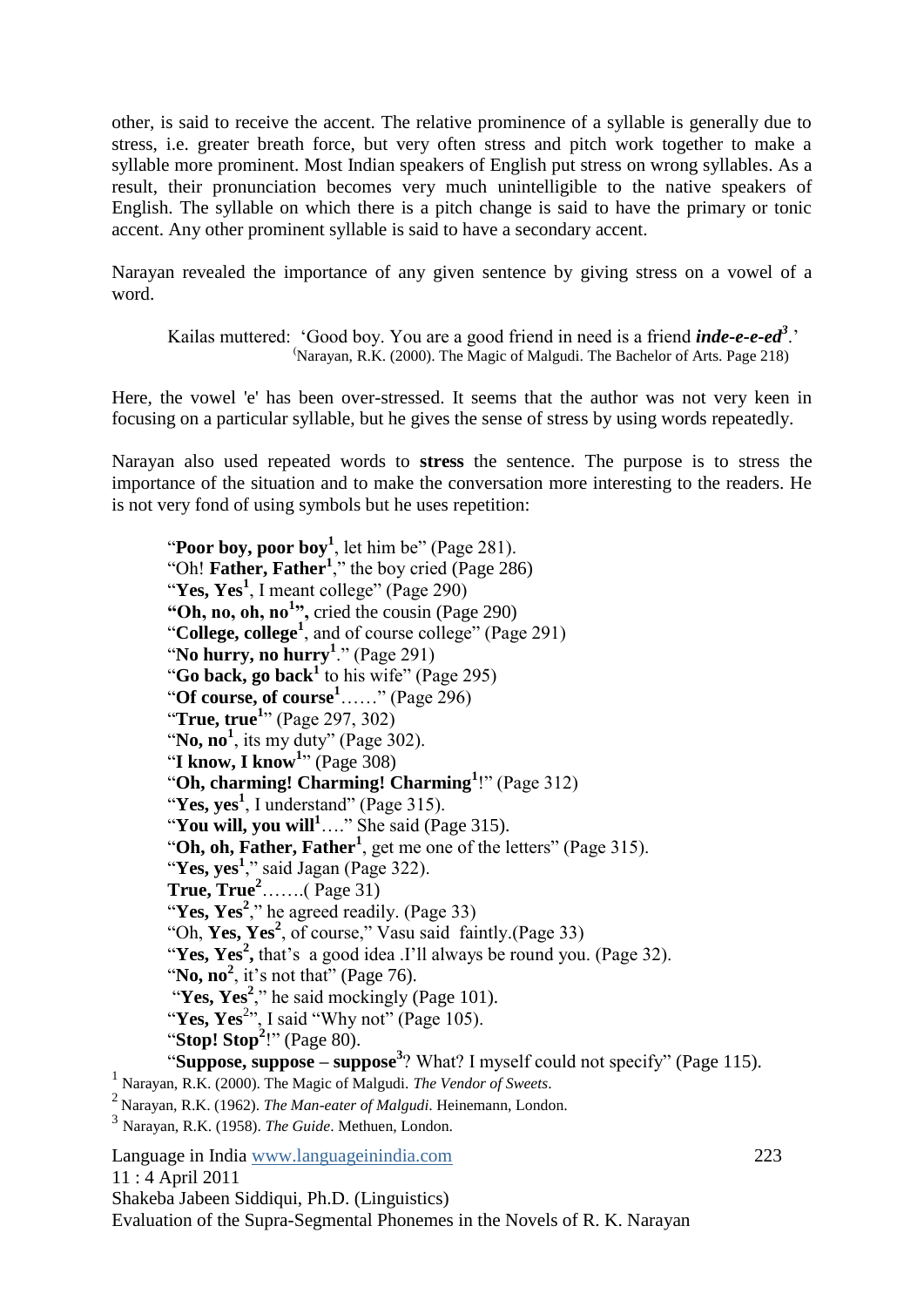other, is said to receive the accent. The relative prominence of a syllable is generally due to stress, i.e. greater breath force, but very often stress and pitch work together to make a syllable more prominent. Most Indian speakers of English put stress on wrong syllables. As a result, their pronunciation becomes very much unintelligible to the native speakers of English. The syllable on which there is a pitch change is said to have the primary or tonic accent. Any other prominent syllable is said to have a secondary accent.

Narayan revealed the importance of any given sentence by giving stress on a vowel of a word.

Kailas muttered: 'Good boy. You are a good friend in need is a friend *inde-e-e-ed<sup>3</sup>*.' (Narayan, R.K. (2000). The Magic of Malgudi. The Bachelor of Arts. Page 218)

Here, the vowel 'e' has been over-stressed. It seems that the author was not very keen in focusing on a particular syllable, but he gives the sense of stress by using words repeatedly.

Narayan also used repeated words to **stress** the sentence. The purpose is to stress the importance of the situation and to make the conversation more interesting to the readers. He is not very fond of using symbols but he uses repetition:

Language in India www.languageinindia.com 223 11 : 4 April 2011 Shakeba Jabeen Siddiqui, Ph.D. (Linguistics) Evaluation of the Supra-Segmental Phonemes in the Novels of R. K. Narayan "Poor boy, poor boy<sup>1</sup>, let him be" (Page 281). "Oh! **Father, Father<sup>1</sup>** ," the boy cried (Page 286) "**Yes, Yes<sup>1</sup>** , I meant college" (Page 290) **―Oh, no, oh, no<sup>1</sup> ‖,** cried the cousin (Page 290) "**College, college<sup>1</sup>** , and of course college" (Page 291) "**No hurry, no hurry<sup>1</sup>** ." (Page 291) "**Go back, go back<sup>1</sup>** to his wife" (Page 295) "**Of course, of course<sup>1</sup>**……" (Page 296) "**True, true<sup>1</sup>** " (Page 297, 302) "No,  $\mathbf{no}^1$ , its my duty" (Page 302). "**I know, I know<sup>1</sup>** " (Page 308) "**Oh, charming! Charming! Charming<sup>1</sup>** !" (Page 312) "Yes, yes<sup>1</sup>, I understand" (Page 315). "**You will, you will<sup>1</sup>**…." She said (Page 315). "Oh, oh, Father, Father<sup>1</sup>, get me one of the letters" (Page 315). "Yes, yes<sup>1</sup>," said Jagan (Page 322). **True, True<sup>2</sup>**…….( Page 31) "Yes, Yes<sup>2</sup>," he agreed readily. (Page 33) "Oh, Yes, Yes<sup>2</sup>, of course," Vasu said faintly.(Page 33) "Yes, Yes<sup>2</sup>, that's a good idea .I'll always be round you. (Page 32). "No,  $\mathbf{no}^2$ , it's not that" (Page 76). "Yes, Yes<sup>2</sup>," he said mockingly (Page 101). "Yes, Yes<sup>2</sup>", I said "Why not" (Page 105). "Stop! Stop<sup>2</sup>!" (Page 80). "Suppose, suppose – suppose<sup>3</sup>? What? I myself could not specify" (Page 115). 1 Narayan, R.K. (2000). The Magic of Malgudi. *The Vendor of Sweets*. <sup>2</sup>Narayan, R.K. (1962). *The Man-eater of Malgudi*. Heinemann, London. 3 Narayan, R.K. (1958). *The Guide*. Methuen, London.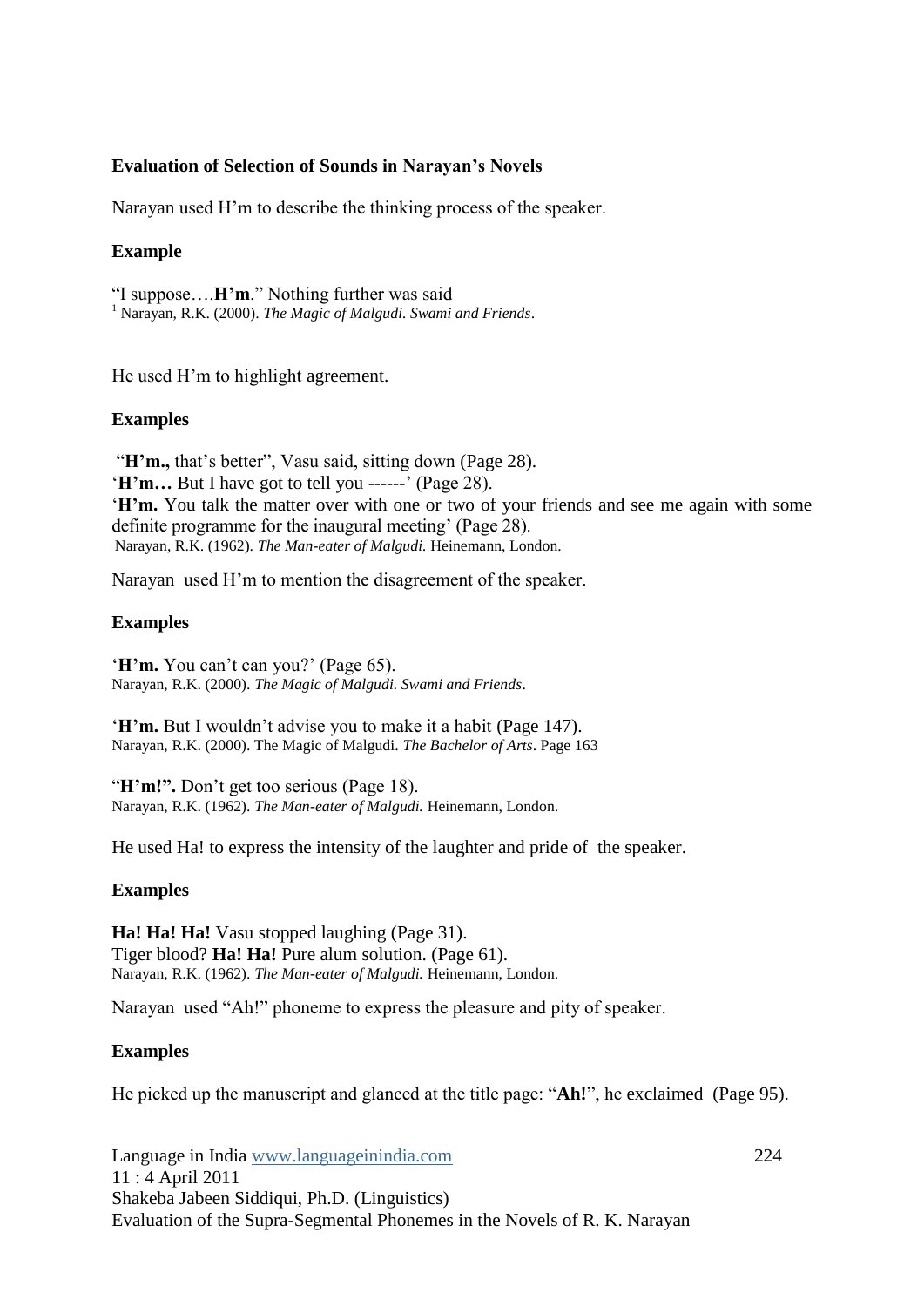#### **Evaluation of Selection of Sounds in Narayan's Novels**

Narayan used H"m to describe the thinking process of the speaker.

#### **Example**

"I suppose….**H'm**." Nothing further was said <sup>1</sup> Narayan, R.K. (2000). *The Magic of Malgudi. Swami and Friends*.

He used H"m to highlight agreement.

#### **Examples**

"**H'm.**, that's better", Vasu said, sitting down (Page 28). '**H'm...** But I have got to tell you ------' (Page 28). "**H'm.** You talk the matter over with one or two of your friends and see me again with some definite programme for the inaugural meeting' (Page 28). Narayan, R.K. (1962). *The Man-eater of Malgudi.* Heinemann, London.

Narayan used H"m to mention the disagreement of the speaker.

#### **Examples**

'**H'm.** You can't can you?' (Page 65). Narayan, R.K. (2000). *The Magic of Malgudi. Swami and Friends*.

"**H'm.** But I wouldn"t advise you to make it a habit (Page 147). Narayan, R.K. (2000). The Magic of Malgudi. *The Bachelor of Arts*. Page 163

"**H'm!".** Don't get too serious (Page 18). Narayan, R.K. (1962). *The Man-eater of Malgudi.* Heinemann, London.

He used Ha! to express the intensity of the laughter and pride of the speaker.

## **Examples**

**Ha! Ha! Ha!** Vasu stopped laughing (Page 31). Tiger blood? **Ha! Ha!** Pure alum solution. (Page 61). Narayan, R.K. (1962). *The Man-eater of Malgudi.* Heinemann, London.

Narayan used "Ah!" phoneme to express the pleasure and pity of speaker.

## **Examples**

He picked up the manuscript and glanced at the title page: "**Ah!**", he exclaimed (Page 95).

Language in India www.languageinindia.com 224 11 : 4 April 2011 Shakeba Jabeen Siddiqui, Ph.D. (Linguistics) Evaluation of the Supra-Segmental Phonemes in the Novels of R. K. Narayan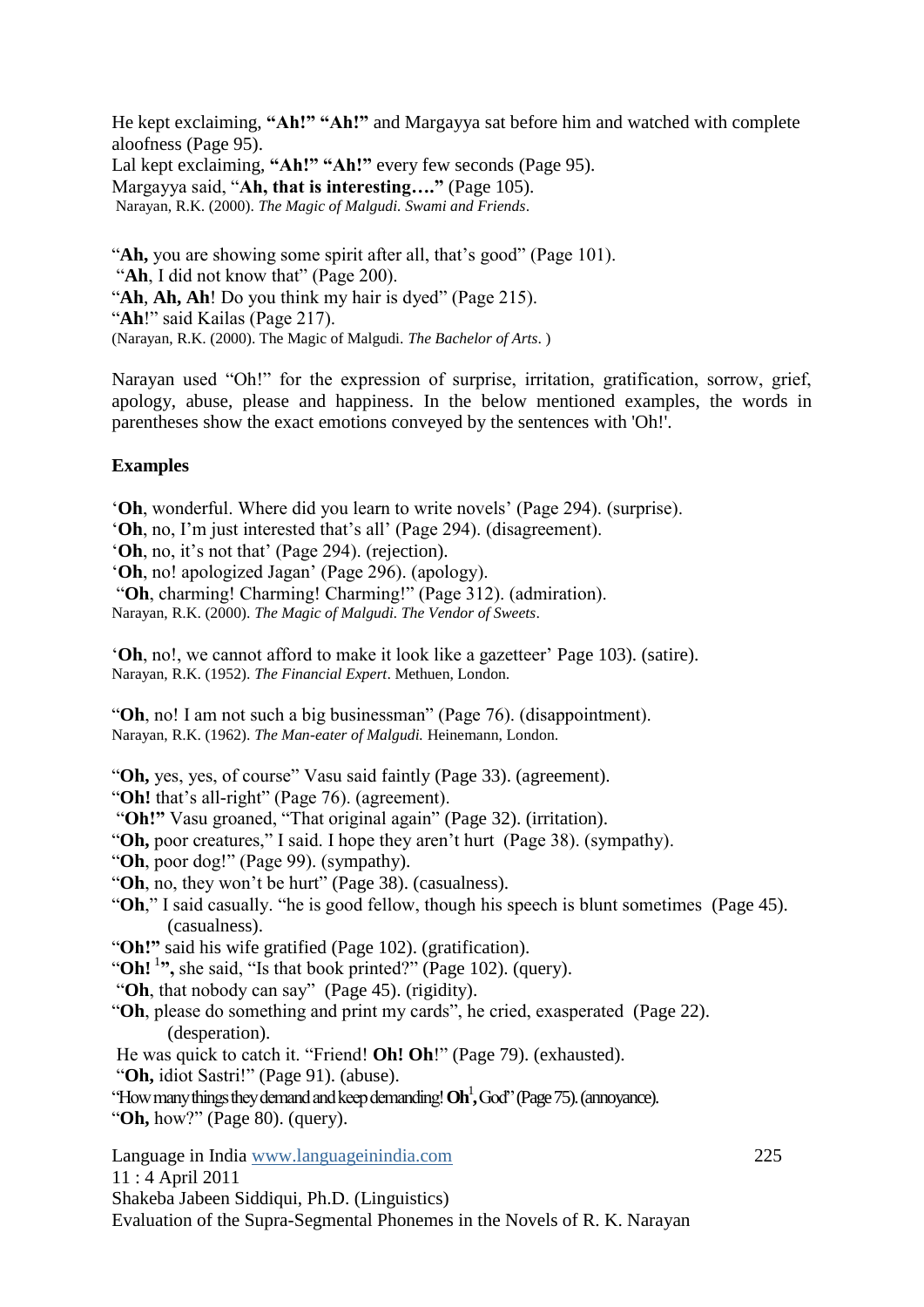He kept exclaiming, "Ah!" "Ah!" and Margayya sat before him and watched with complete aloofness (Page 95).

Lal kept exclaiming. "Ah!" "Ah!" every few seconds (Page 95).

Margayya said, "Ah, that is interesting...." (Page 105).

Narayan, R.K. (2000). *The Magic of Malgudi. Swami and Friends*.

"Ah, you are showing some spirit after all, that's good" (Page 101). "Ah, I did not know that" (Page 200). "**Ah**, **Ah, Ah**! Do you think my hair is dyed" (Page 215). "**Ah**!" said Kailas (Page 217). (Narayan, R.K. (2000). The Magic of Malgudi. *The Bachelor of Arts*. )

Narayan used "Oh!" for the expression of surprise, irritation, gratification, sorrow, grief, apology, abuse, please and happiness. In the below mentioned examples, the words in parentheses show the exact emotions conveyed by the sentences with 'Oh!'.

## **Examples**

"**Oh**, wonderful. Where did you learn to write novels" (Page 294). (surprise).

"**Oh**, no, I"m just interested that"s all" (Page 294). (disagreement).

'Oh, no, it's not that' (Page 294). (rejection).

"**Oh**, no! apologized Jagan" (Page 296). (apology).

"**Oh**, charming! Charming! Charming!" (Page 312). (admiration).

Narayan, R.K. (2000). *The Magic of Malgudi. The Vendor of Sweets*.

"**Oh**, no!, we cannot afford to make it look like a gazetteer" Page 103). (satire). Narayan, R.K. (1952). *The Financial Expert*. Methuen, London.

"**Oh**, no! I am not such a big businessman" (Page 76). (disappointment). Narayan, R.K. (1962). *The Man-eater of Malgudi.* Heinemann, London.

"**Oh,** yes, yes, of course" Vasu said faintly (Page 33). (agreement).

"Oh! that's all-right" (Page 76). (agreement).

"Oh!" Vasu groaned, "That original again" (Page 32). (irritation).

"**Oh,** poor creatures," I said. I hope they aren"t hurt (Page 38). (sympathy).

"**Oh**, poor dog!" (Page 99). (sympathy).

- "**Oh**, no, they won"t be hurt" (Page 38). (casualness).
- "**Oh**," I said casually. "he is good fellow, though his speech is blunt sometimes (Page 45). (casualness).

"**Oh!‖** said his wife gratified (Page 102). (gratification).

"Oh!<sup>1</sup>", she said, "Is that book printed?" (Page 102). (query).

"**Oh**, that nobody can say" (Page 45). (rigidity).

"**Oh**, please do something and print my cards", he cried, exasperated (Page 22). (desperation).

He was quick to catch it. "Friend! **Oh! Oh**!" (Page 79). (exhausted).

"**Oh,** idiot Sastri!" (Page 91). (abuse).

"How many things they demand and keep demanding! **Oh**<sup>1</sup> **,**God" (Page 75). (annoyance).

"**Oh,** how?" (Page 80). (query).

Language in India www.languageinindia.com 225 11 : 4 April 2011 Shakeba Jabeen Siddiqui, Ph.D. (Linguistics) Evaluation of the Supra-Segmental Phonemes in the Novels of R. K. Narayan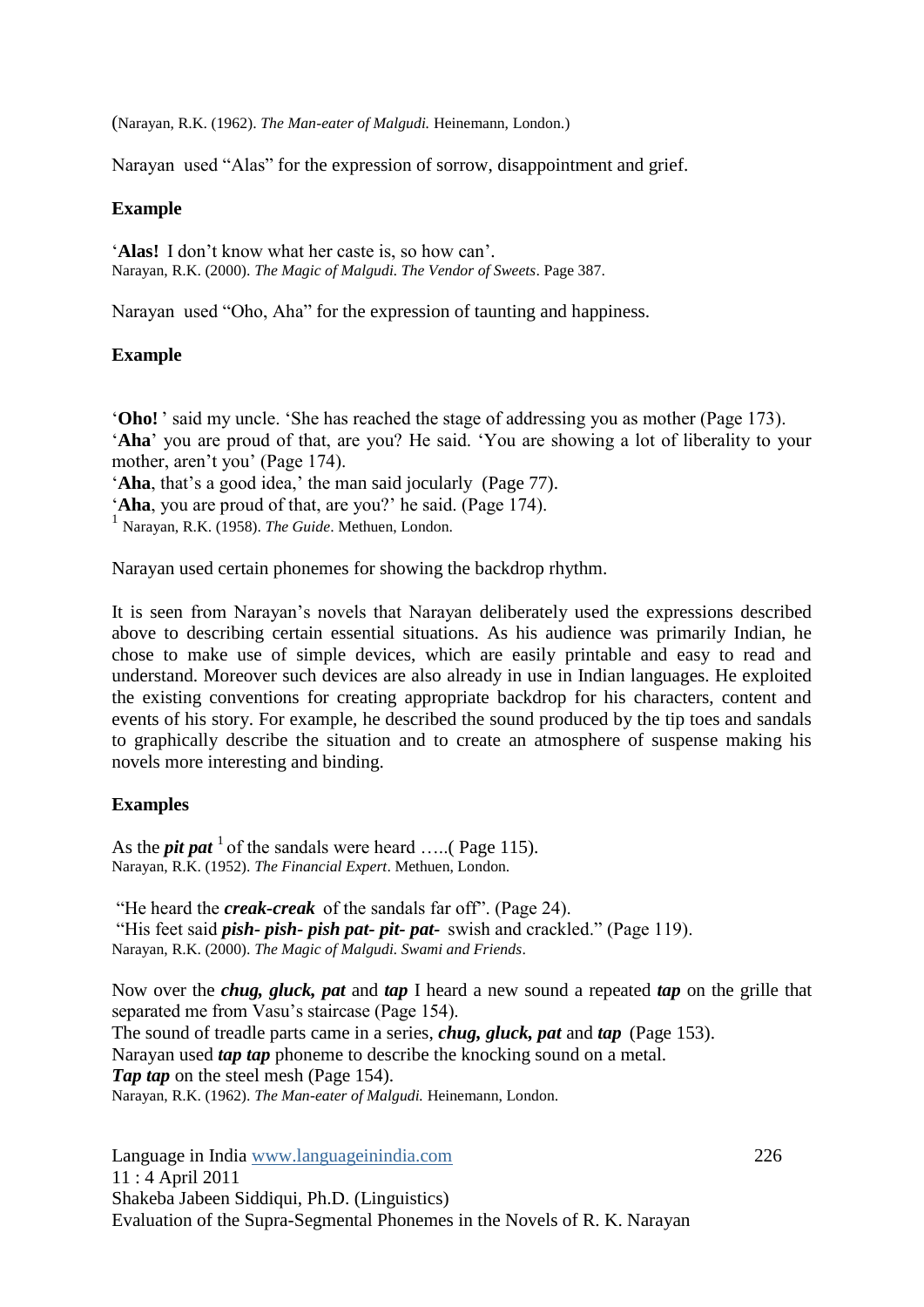(Narayan, R.K. (1962). *The Man-eater of Malgudi.* Heinemann, London.)

Narayan used "Alas" for the expression of sorrow, disappointment and grief.

#### **Example**

'Alas! I don't know what her caste is, so how can'. Narayan, R.K. (2000). *The Magic of Malgudi. The Vendor of Sweets*. Page 387.

Narayan used "Oho, Aha" for the expression of taunting and happiness.

## **Example**

"**Oho!** " said my uncle. "She has reached the stage of addressing you as mother (Page 173). "**Aha**" you are proud of that, are you? He said. "You are showing a lot of liberality to your mother, aren't you' (Page 174).

'Aha, that's a good idea,' the man said jocularly (Page 77).

'Aha, you are proud of that, are you?' he said. (Page 174).

1 Narayan, R.K. (1958). *The Guide*. Methuen, London.

Narayan used certain phonemes for showing the backdrop rhythm.

It is seen from Narayan"s novels that Narayan deliberately used the expressions described above to describing certain essential situations. As his audience was primarily Indian, he chose to make use of simple devices, which are easily printable and easy to read and understand. Moreover such devices are also already in use in Indian languages. He exploited the existing conventions for creating appropriate backdrop for his characters, content and events of his story. For example, he described the sound produced by the tip toes and sandals to graphically describe the situation and to create an atmosphere of suspense making his novels more interesting and binding.

## **Examples**

As the *pit pat*  $\frac{1}{1}$  of the sandals were heard .....( Page 115). Narayan, R.K. (1952). *The Financial Expert*. Methuen, London.

"He heard the *creak-creak* of the sandals far off". (Page 24).

"His feet said *pish- pish- pish pat- pit- pat-* swish and crackled." (Page 119). Narayan, R.K. (2000). *The Magic of Malgudi. Swami and Friends*.

Now over the *chug, gluck, pat* and *tap* I heard a new sound a repeated *tap* on the grille that separated me from Vasu"s staircase (Page 154). The sound of treadle parts came in a series, *chug, gluck, pat* and *tap* (Page 153). Narayan used *tap tap* phoneme to describe the knocking sound on a metal. *Tap tap* on the steel mesh (Page 154). Narayan, R.K. (1962). *The Man-eater of Malgudi.* Heinemann, London.

Language in India www.languageinindia.com 226 11 : 4 April 2011 Shakeba Jabeen Siddiqui, Ph.D. (Linguistics) Evaluation of the Supra-Segmental Phonemes in the Novels of R. K. Narayan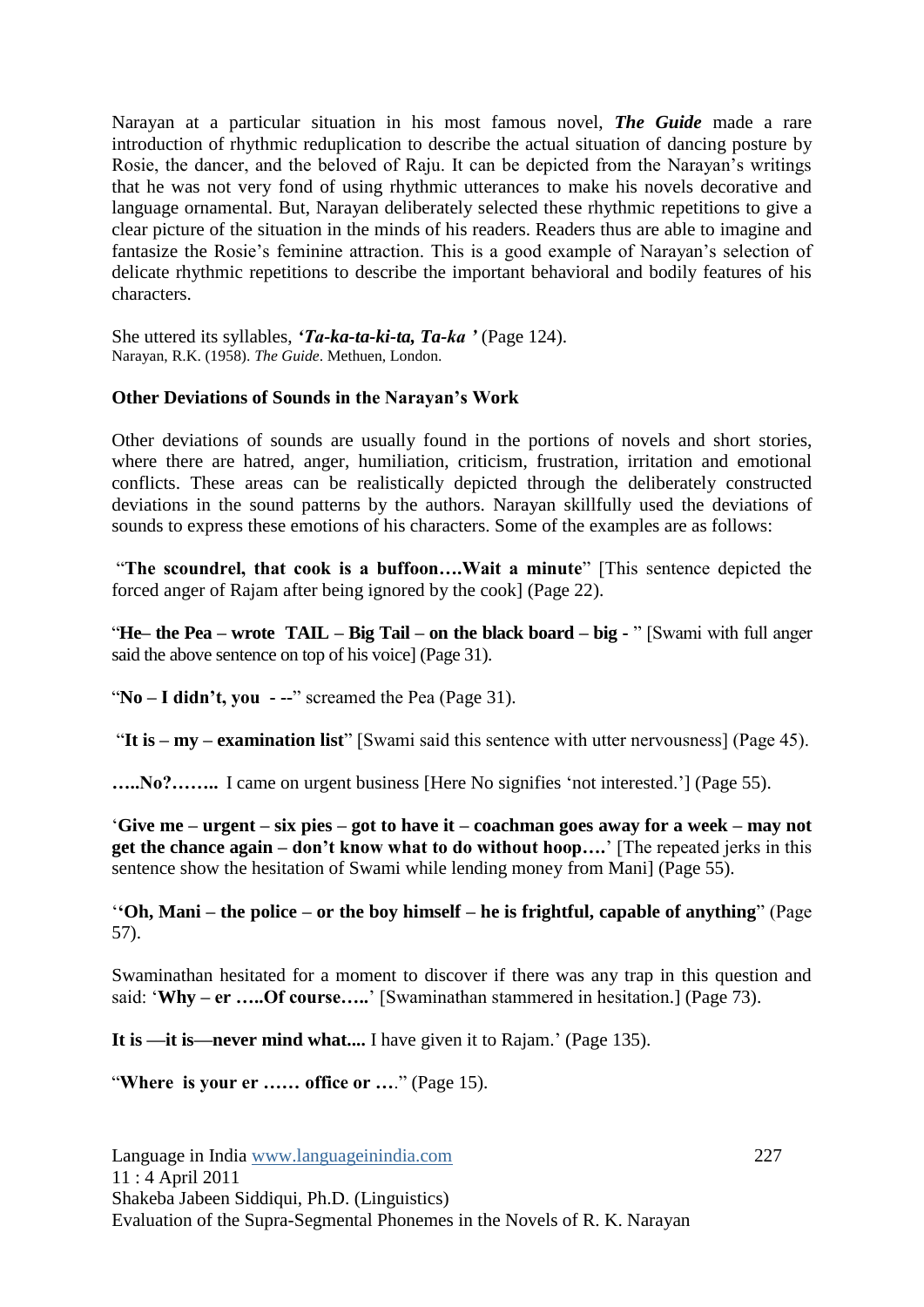Narayan at a particular situation in his most famous novel, *The Guide* made a rare introduction of rhythmic reduplication to describe the actual situation of dancing posture by Rosie, the dancer, and the beloved of Raju. It can be depicted from the Narayan"s writings that he was not very fond of using rhythmic utterances to make his novels decorative and language ornamental. But, Narayan deliberately selected these rhythmic repetitions to give a clear picture of the situation in the minds of his readers. Readers thus are able to imagine and fantasize the Rosie's feminine attraction. This is a good example of Narayan's selection of delicate rhythmic repetitions to describe the important behavioral and bodily features of his characters.

She uttered its syllables, *'Ta-ka-ta-ki-ta, Ta-ka '* (Page 124). Narayan, R.K. (1958). *The Guide*. Methuen, London.

#### **Other Deviations of Sounds in the Narayan's Work**

Other deviations of sounds are usually found in the portions of novels and short stories, where there are hatred, anger, humiliation, criticism, frustration, irritation and emotional conflicts. These areas can be realistically depicted through the deliberately constructed deviations in the sound patterns by the authors. Narayan skillfully used the deviations of sounds to express these emotions of his characters. Some of the examples are as follows:

"**The scoundrel, that cook is a buffoon….Wait a minute**" [This sentence depicted the forced anger of Rajam after being ignored by the cook] (Page 22).

"**He– the Pea – wrote TAIL – Big Tail – on the black board – big -** " [Swami with full anger said the above sentence on top of his voice] (Page 31).

"**No – I didn't, you - --**" screamed the Pea (Page 31).

"**It is – my – examination list**" [Swami said this sentence with utter nervousness] (Page 45).

**…..No?……..** I came on urgent business [Here No signifies "not interested."] (Page 55).

"**Give me – urgent – six pies – got to have it – coachman goes away for a week – may not get the chance again – don't know what to do without hoop….**" [The repeated jerks in this sentence show the hesitation of Swami while lending money from Mani] (Page 55).

"**‗Oh, Mani – the police – or the boy himself – he is frightful, capable of anything**" (Page 57).

Swaminathan hesitated for a moment to discover if there was any trap in this question and said: "**Why – er …..Of course…..**" [Swaminathan stammered in hesitation.] (Page 73).

It is —it is—never mind what.... I have given it to Rajam.' (Page 135).

"**Where is your er …… office or …**." (Page 15).